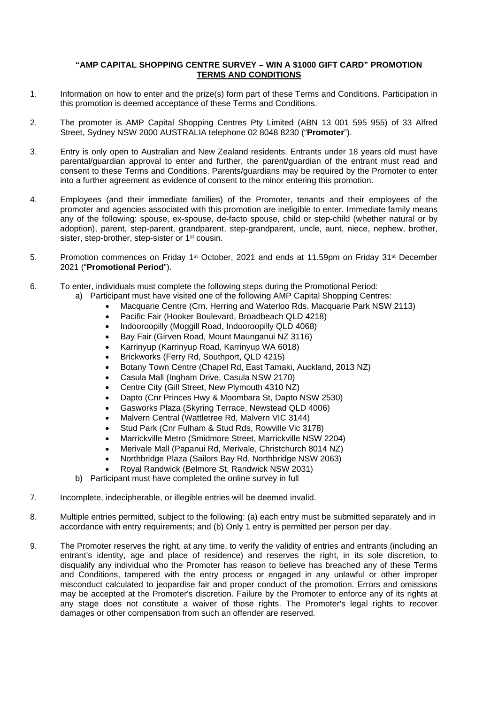## **"AMP CAPITAL SHOPPING CENTRE SURVEY – WIN A \$1000 GIFT CARD" PROMOTION TERMS AND CONDITIONS**

- 1. Information on how to enter and the prize(s) form part of these Terms and Conditions. Participation in this promotion is deemed acceptance of these Terms and Conditions.
- 2. The promoter is AMP Capital Shopping Centres Pty Limited (ABN 13 001 595 955) of 33 Alfred Street, Sydney NSW 2000 AUSTRALIA telephone 02 8048 8230 ("**Promoter**").
- 3. Entry is only open to Australian and New Zealand residents. Entrants under 18 years old must have parental/guardian approval to enter and further, the parent/guardian of the entrant must read and consent to these Terms and Conditions. Parents/guardians may be required by the Promoter to enter into a further agreement as evidence of consent to the minor entering this promotion.
- 4. Employees (and their immediate families) of the Promoter, tenants and their employees of the promoter and agencies associated with this promotion are ineligible to enter. Immediate family means any of the following: spouse, ex-spouse, de-facto spouse, child or step-child (whether natural or by adoption), parent, step-parent, grandparent, step-grandparent, uncle, aunt, niece, nephew, brother, sister, step-brother, step-sister or 1<sup>st</sup> cousin.
- 5. Promotion commences on Friday 1<sup>st</sup> October, 2021 and ends at 11.59pm on Friday 31<sup>st</sup> December 2021 ("**Promotional Period**").
- 6. To enter, individuals must complete the following steps during the Promotional Period:
	- a) Participant must have visited one of the following AMP Capital Shopping Centres:
		- Macquarie Centre (Crn. Herring and Waterloo Rds. Macquarie Park NSW 2113)
			- Pacific Fair (Hooker Boulevard, Broadbeach QLD 4218)
		- Indooroopilly (Moggill Road, Indooroopilly QLD 4068)
		- Bay Fair (Girven Road, Mount Maunganui NZ 3116)
		- Karrinyup (Karrinyup Road, Karrinyup WA 6018)
		- Brickworks (Ferry Rd, Southport, QLD 4215)
		- Botany Town Centre (Chapel Rd, East Tamaki, Auckland, 2013 NZ)
		- Casula Mall (Ingham Drive, Casula NSW 2170)
		- Centre City (Gill Street, New Plymouth 4310 NZ)
		- Dapto (Cnr Princes Hwy & Moombara St, Dapto NSW 2530)
		- Gasworks Plaza (Skyring Terrace, Newstead QLD 4006)
		- Malvern Central (Wattletree Rd, Malvern VIC 3144)
		- Stud Park (Cnr Fulham & Stud Rds, Rowville Vic 3178)
		- Marrickville Metro (Smidmore Street, Marrickville NSW 2204)
		- Merivale Mall (Papanui Rd, Merivale, Christchurch 8014 NZ)
		- Northbridge Plaza (Sailors Bay Rd, Northbridge NSW 2063)
		- Royal Randwick (Belmore St, Randwick NSW 2031)
	- b) Participant must have completed the online survey in full
- 7. Incomplete, indecipherable, or illegible entries will be deemed invalid.
- 8. Multiple entries permitted, subject to the following: (a) each entry must be submitted separately and in accordance with entry requirements; and (b) Only 1 entry is permitted per person per day.
- 9. The Promoter reserves the right, at any time, to verify the validity of entries and entrants (including an entrant's identity, age and place of residence) and reserves the right, in its sole discretion, to disqualify any individual who the Promoter has reason to believe has breached any of these Terms and Conditions, tampered with the entry process or engaged in any unlawful or other improper misconduct calculated to jeopardise fair and proper conduct of the promotion. Errors and omissions may be accepted at the Promoter's discretion. Failure by the Promoter to enforce any of its rights at any stage does not constitute a waiver of those rights. The Promoter's legal rights to recover damages or other compensation from such an offender are reserved.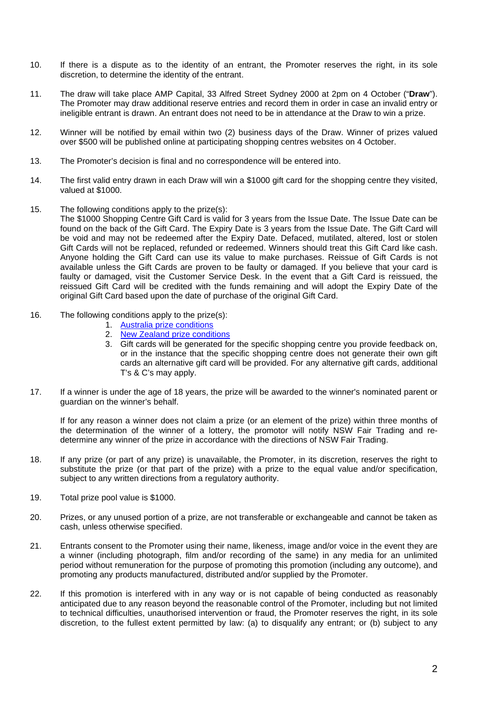- 10. If there is a dispute as to the identity of an entrant, the Promoter reserves the right, in its sole discretion, to determine the identity of the entrant.
- 11. The draw will take place AMP Capital, 33 Alfred Street Sydney 2000 at 2pm on 4 October ("**Draw**"). The Promoter may draw additional reserve entries and record them in order in case an invalid entry or ineligible entrant is drawn. An entrant does not need to be in attendance at the Draw to win a prize.
- 12. Winner will be notified by email within two (2) business days of the Draw. Winner of prizes valued over \$500 will be published online at participating shopping centres websites on 4 October.
- 13. The Promoter's decision is final and no correspondence will be entered into.
- 14. The first valid entry drawn in each Draw will win a \$1000 gift card for the shopping centre they visited, valued at \$1000.
- 15. The following conditions apply to the prize(s):
	- The \$1000 Shopping Centre Gift Card is valid for 3 years from the Issue Date. The Issue Date can be found on the back of the Gift Card. The Expiry Date is 3 years from the Issue Date. The Gift Card will be void and may not be redeemed after the Expiry Date. Defaced, mutilated, altered, lost or stolen Gift Cards will not be replaced, refunded or redeemed. Winners should treat this Gift Card like cash. Anyone holding the Gift Card can use its value to make purchases. Reissue of Gift Cards is not available unless the Gift Cards are proven to be faulty or damaged. If you believe that your card is faulty or damaged, visit the Customer Service Desk. In the event that a Gift Card is reissued, the reissued Gift Card will be credited with the funds remaining and will adopt the Expiry Date of the original Gift Card based upon the date of purchase of the original Gift Card.
- 16. The following conditions apply to the prize(s):
	- 1. [Australia prize conditions](https://www.pacificfair.com.au/media/files/pacificfair/63/63335aff-269f-4e87-b6c1-da208c0eed12.pdf)
	- 2. [New Zealand prize conditions](https://www.bayfair.co.nz/getmedia/f0300fe2-f24c-4850-98cb-3f169cb212c6/GiftCard_T-Cs_v3.pdf.aspx)
	- 3. Gift cards will be generated for the specific shopping centre you provide feedback on, or in the instance that the specific shopping centre does not generate their own gift cards an alternative gift card will be provided. For any alternative gift cards, additional T's & C's may apply.
- 17. If a winner is under the age of 18 years, the prize will be awarded to the winner's nominated parent or guardian on the winner's behalf.

If for any reason a winner does not claim a prize (or an element of the prize) within three months of the determination of the winner of a lottery, the promotor will notify NSW Fair Trading and redetermine any winner of the prize in accordance with the directions of NSW Fair Trading.

- 18. If any prize (or part of any prize) is unavailable, the Promoter, in its discretion, reserves the right to substitute the prize (or that part of the prize) with a prize to the equal value and/or specification, subject to any written directions from a regulatory authority.
- 19. Total prize pool value is \$1000.
- 20. Prizes, or any unused portion of a prize, are not transferable or exchangeable and cannot be taken as cash, unless otherwise specified.
- 21. Entrants consent to the Promoter using their name, likeness, image and/or voice in the event they are a winner (including photograph, film and/or recording of the same) in any media for an unlimited period without remuneration for the purpose of promoting this promotion (including any outcome), and promoting any products manufactured, distributed and/or supplied by the Promoter.
- 22. If this promotion is interfered with in any way or is not capable of being conducted as reasonably anticipated due to any reason beyond the reasonable control of the Promoter, including but not limited to technical difficulties, unauthorised intervention or fraud, the Promoter reserves the right, in its sole discretion, to the fullest extent permitted by law: (a) to disqualify any entrant; or (b) subject to any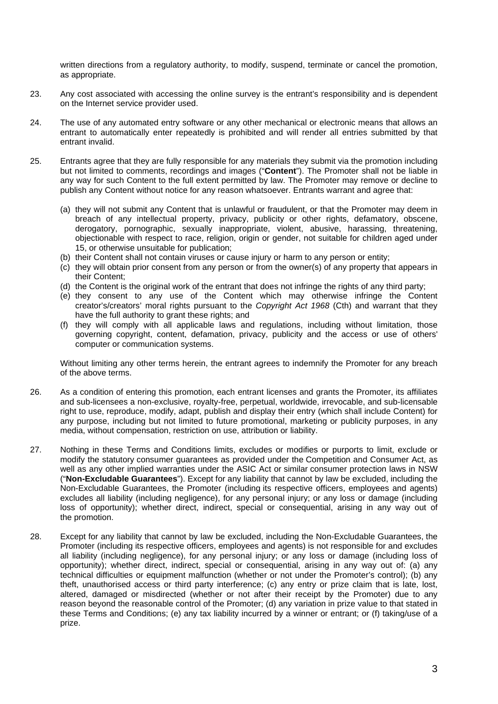written directions from a regulatory authority, to modify, suspend, terminate or cancel the promotion, as appropriate.

- 23. Any cost associated with accessing the online survey is the entrant's responsibility and is dependent on the Internet service provider used.
- 24. The use of any automated entry software or any other mechanical or electronic means that allows an entrant to automatically enter repeatedly is prohibited and will render all entries submitted by that entrant invalid.
- 25. Entrants agree that they are fully responsible for any materials they submit via the promotion including but not limited to comments, recordings and images ("**Content**"). The Promoter shall not be liable in any way for such Content to the full extent permitted by law. The Promoter may remove or decline to publish any Content without notice for any reason whatsoever. Entrants warrant and agree that:
	- (a) they will not submit any Content that is unlawful or fraudulent, or that the Promoter may deem in breach of any intellectual property, privacy, publicity or other rights, defamatory, obscene, derogatory, pornographic, sexually inappropriate, violent, abusive, harassing, threatening, objectionable with respect to race, religion, origin or gender, not suitable for children aged under 15, or otherwise unsuitable for publication;
	- (b) their Content shall not contain viruses or cause injury or harm to any person or entity;
	- (c) they will obtain prior consent from any person or from the owner(s) of any property that appears in their Content;
	- (d) the Content is the original work of the entrant that does not infringe the rights of any third party;
	- (e) they consent to any use of the Content which may otherwise infringe the Content creator's/creators' moral rights pursuant to the *Copyright Act 1968* (Cth) and warrant that they have the full authority to grant these rights; and
	- (f) they will comply with all applicable laws and regulations, including without limitation, those governing copyright, content, defamation, privacy, publicity and the access or use of others' computer or communication systems.

Without limiting any other terms herein, the entrant agrees to indemnify the Promoter for any breach of the above terms.

- 26. As a condition of entering this promotion, each entrant licenses and grants the Promoter, its affiliates and sub-licensees a non-exclusive, royalty-free, perpetual, worldwide, irrevocable, and sub-licensable right to use, reproduce, modify, adapt, publish and display their entry (which shall include Content) for any purpose, including but not limited to future promotional, marketing or publicity purposes, in any media, without compensation, restriction on use, attribution or liability.
- 27. Nothing in these Terms and Conditions limits, excludes or modifies or purports to limit, exclude or modify the statutory consumer guarantees as provided under the Competition and Consumer Act, as well as any other implied warranties under the ASIC Act or similar consumer protection laws in NSW ("**Non-Excludable Guarantees**"). Except for any liability that cannot by law be excluded, including the Non-Excludable Guarantees, the Promoter (including its respective officers, employees and agents) excludes all liability (including negligence), for any personal injury; or any loss or damage (including loss of opportunity); whether direct, indirect, special or consequential, arising in any way out of the promotion.
- 28. Except for any liability that cannot by law be excluded, including the Non-Excludable Guarantees, the Promoter (including its respective officers, employees and agents) is not responsible for and excludes all liability (including negligence), for any personal injury; or any loss or damage (including loss of opportunity); whether direct, indirect, special or consequential, arising in any way out of: (a) any technical difficulties or equipment malfunction (whether or not under the Promoter's control); (b) any theft, unauthorised access or third party interference; (c) any entry or prize claim that is late, lost, altered, damaged or misdirected (whether or not after their receipt by the Promoter) due to any reason beyond the reasonable control of the Promoter; (d) any variation in prize value to that stated in these Terms and Conditions; (e) any tax liability incurred by a winner or entrant; or (f) taking/use of a prize.